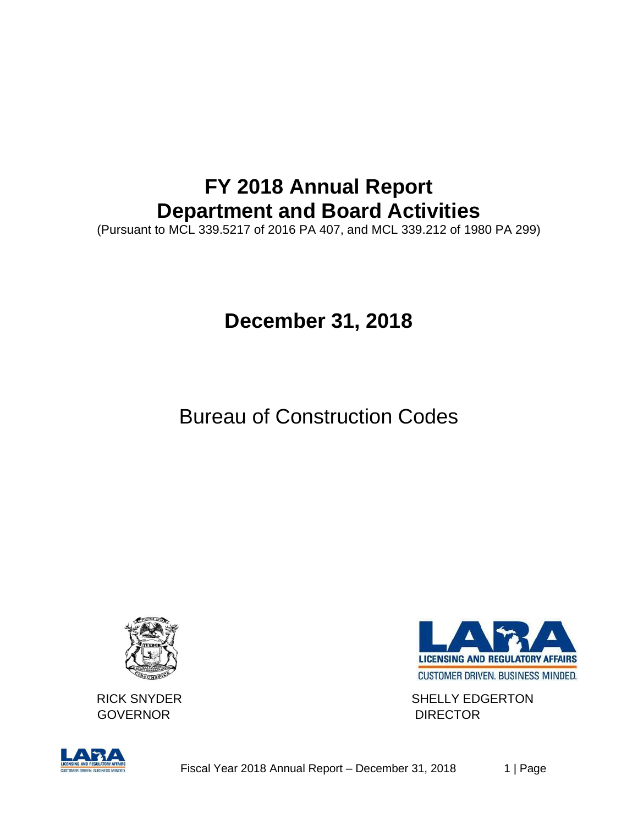# **FY 2018 Annual Report Department and Board Activities**

(Pursuant to MCL 339.5217 of 2016 PA 407, and MCL 339.212 of 1980 PA 299)

# **December 31, 2018**

# Bureau of Construction Codes



GOVERNOR DIRECTOR



RICK SNYDER SHELLY EDGERTON

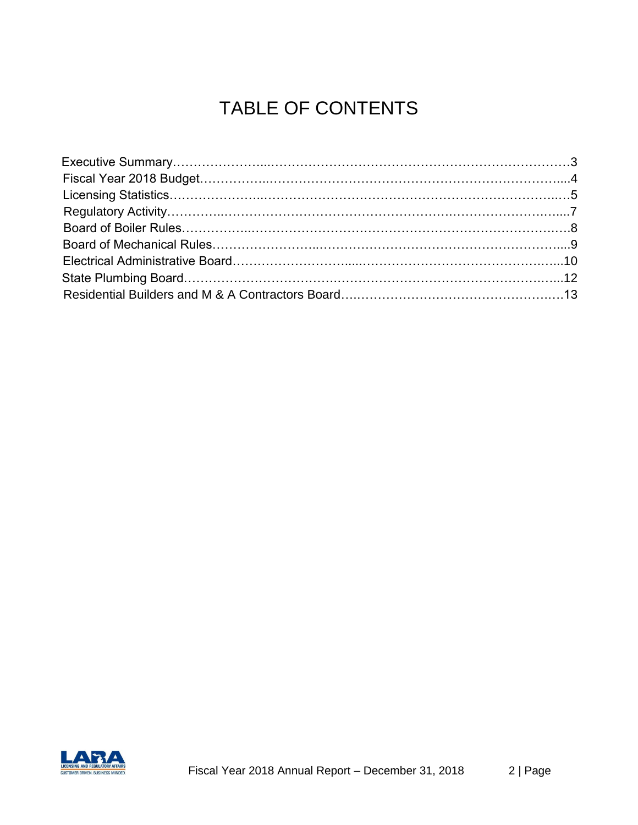# TABLE OF CONTENTS

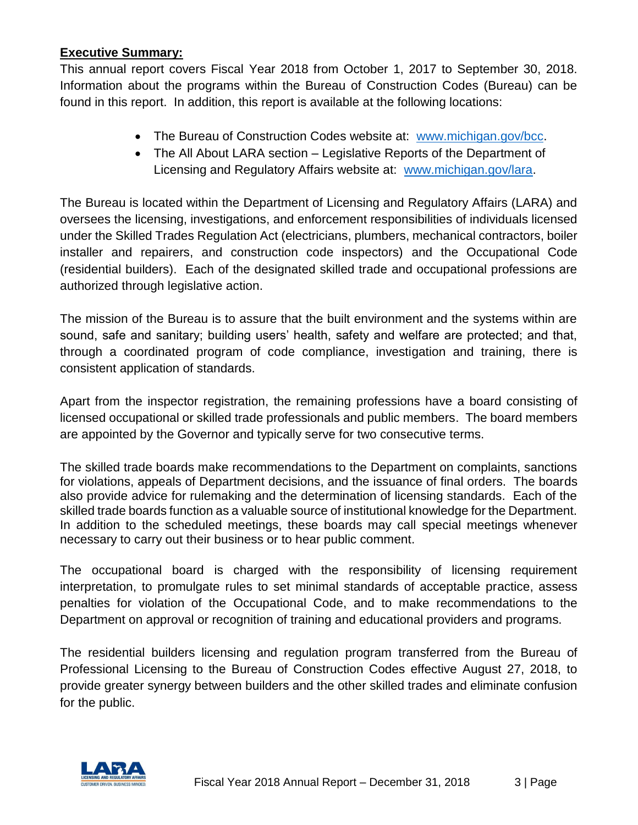#### **Executive Summary:**

This annual report covers Fiscal Year 2018 from October 1, 2017 to September 30, 2018. Information about the programs within the Bureau of Construction Codes (Bureau) can be found in this report. In addition, this report is available at the following locations:

- The Bureau of Construction Codes website at: [www.michigan.gov/bcc.](http://www.michigan.gov/bcc)
- The All About LARA section Legislative Reports of the Department of Licensing and Regulatory Affairs website at: [www.michigan.gov/lara.](http://www.michigan.gov/lara)

The Bureau is located within the Department of Licensing and Regulatory Affairs (LARA) and oversees the licensing, investigations, and enforcement responsibilities of individuals licensed under the Skilled Trades Regulation Act (electricians, plumbers, mechanical contractors, boiler installer and repairers, and construction code inspectors) and the Occupational Code (residential builders). Each of the designated skilled trade and occupational professions are authorized through legislative action.

The mission of the Bureau is to assure that the built environment and the systems within are sound, safe and sanitary; building users' health, safety and welfare are protected; and that, through a coordinated program of code compliance, investigation and training, there is consistent application of standards.

Apart from the inspector registration, the remaining professions have a board consisting of licensed occupational or skilled trade professionals and public members. The board members are appointed by the Governor and typically serve for two consecutive terms.

The skilled trade boards make recommendations to the Department on complaints, sanctions for violations, appeals of Department decisions, and the issuance of final orders. The boards also provide advice for rulemaking and the determination of licensing standards. Each of the skilled trade boards function as a valuable source of institutional knowledge for the Department. In addition to the scheduled meetings, these boards may call special meetings whenever necessary to carry out their business or to hear public comment.

The occupational board is charged with the responsibility of licensing requirement interpretation, to promulgate rules to set minimal standards of acceptable practice, assess penalties for violation of the Occupational Code, and to make recommendations to the Department on approval or recognition of training and educational providers and programs.

The residential builders licensing and regulation program transferred from the Bureau of Professional Licensing to the Bureau of Construction Codes effective August 27, 2018, to provide greater synergy between builders and the other skilled trades and eliminate confusion for the public.

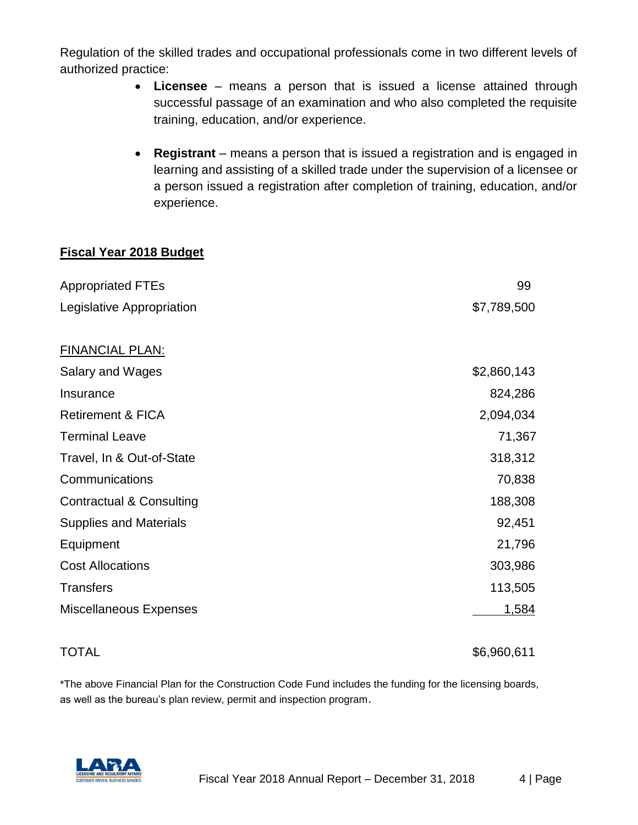Regulation of the skilled trades and occupational professionals come in two different levels of authorized practice:

- **Licensee** means a person that is issued a license attained through successful passage of an examination and who also completed the requisite training, education, and/or experience.
- **Registrant** means a person that is issued a registration and is engaged in learning and assisting of a skilled trade under the supervision of a licensee or a person issued a registration after completion of training, education, and/or experience.

#### **Fiscal Year 2018 Budget**

| <b>Appropriated FTEs</b>            | 99           |
|-------------------------------------|--------------|
| Legislative Appropriation           | \$7,789,500  |
|                                     |              |
| <b>FINANCIAL PLAN:</b>              |              |
| Salary and Wages                    | \$2,860,143  |
| Insurance                           | 824,286      |
| <b>Retirement &amp; FICA</b>        | 2,094,034    |
| <b>Terminal Leave</b>               | 71,367       |
| Travel, In & Out-of-State           | 318,312      |
| Communications                      | 70,838       |
| <b>Contractual &amp; Consulting</b> | 188,308      |
| <b>Supplies and Materials</b>       | 92,451       |
| Equipment                           | 21,796       |
| <b>Cost Allocations</b>             | 303,986      |
| <b>Transfers</b>                    | 113,505      |
| <b>Miscellaneous Expenses</b>       | <u>1,584</u> |

TOTAL \$6,960,611

\*The above Financial Plan for the Construction Code Fund includes the funding for the licensing boards, as well as the bureau's plan review, permit and inspection program.

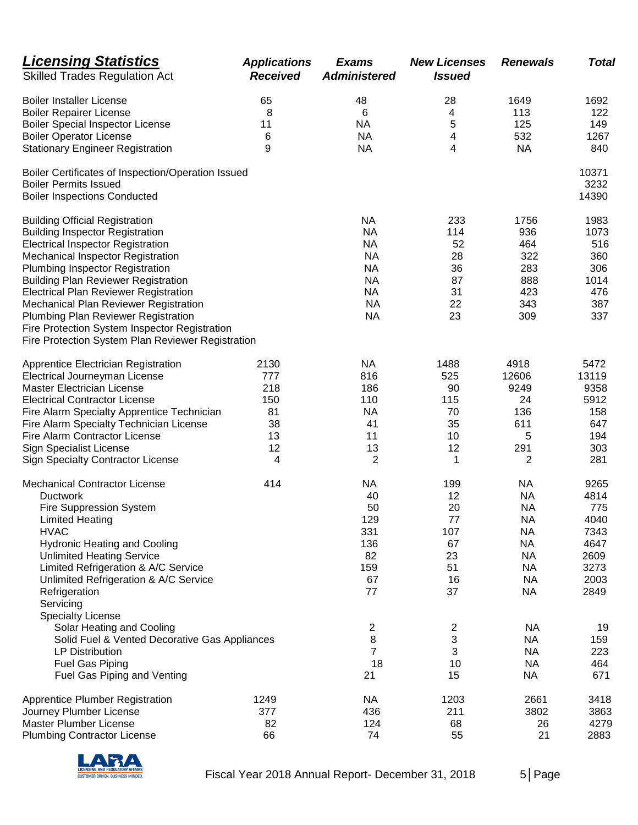| <b>Licensing Statistics</b><br><b>Skilled Trades Regulation Act</b>                                                                                                                                                                                                                                                                                                                                                                                                                     | <b>Applications</b><br><b>Received</b> | <b>Exams</b><br><b>Administered</b>                                                                                | <b>New Licenses</b><br><b>Issued</b>                                                   | <b>Renewals</b>                                                                                                                                                       | Total                                                                                           |
|-----------------------------------------------------------------------------------------------------------------------------------------------------------------------------------------------------------------------------------------------------------------------------------------------------------------------------------------------------------------------------------------------------------------------------------------------------------------------------------------|----------------------------------------|--------------------------------------------------------------------------------------------------------------------|----------------------------------------------------------------------------------------|-----------------------------------------------------------------------------------------------------------------------------------------------------------------------|-------------------------------------------------------------------------------------------------|
| <b>Boiler Installer License</b>                                                                                                                                                                                                                                                                                                                                                                                                                                                         | 65                                     | 48                                                                                                                 | 28                                                                                     | 1649                                                                                                                                                                  | 1692                                                                                            |
| <b>Boiler Repairer License</b>                                                                                                                                                                                                                                                                                                                                                                                                                                                          | 8                                      | 6                                                                                                                  | 4                                                                                      | 113                                                                                                                                                                   | 122                                                                                             |
| <b>Boiler Special Inspector License</b>                                                                                                                                                                                                                                                                                                                                                                                                                                                 | 11                                     | <b>NA</b>                                                                                                          | 5                                                                                      | 125                                                                                                                                                                   | 149                                                                                             |
| <b>Boiler Operator License</b>                                                                                                                                                                                                                                                                                                                                                                                                                                                          | 6                                      | <b>NA</b>                                                                                                          | 4                                                                                      | 532                                                                                                                                                                   | 1267                                                                                            |
| <b>Stationary Engineer Registration</b>                                                                                                                                                                                                                                                                                                                                                                                                                                                 | 9                                      | <b>NA</b>                                                                                                          | 4                                                                                      | <b>NA</b>                                                                                                                                                             | 840                                                                                             |
| Boiler Certificates of Inspection/Operation Issued<br><b>Boiler Permits Issued</b><br><b>Boiler Inspections Conducted</b>                                                                                                                                                                                                                                                                                                                                                               |                                        |                                                                                                                    |                                                                                        |                                                                                                                                                                       | 10371<br>3232<br>14390                                                                          |
| <b>Building Official Registration</b><br><b>Building Inspector Registration</b><br><b>Electrical Inspector Registration</b><br>Mechanical Inspector Registration<br>Plumbing Inspector Registration<br><b>Building Plan Reviewer Registration</b><br><b>Electrical Plan Reviewer Registration</b><br>Mechanical Plan Reviewer Registration<br>Plumbing Plan Reviewer Registration<br>Fire Protection System Inspector Registration<br>Fire Protection System Plan Reviewer Registration |                                        | <b>NA</b><br><b>NA</b><br><b>NA</b><br><b>NA</b><br><b>NA</b><br><b>NA</b><br><b>NA</b><br><b>NA</b><br><b>NA</b>  | 233<br>114<br>52<br>28<br>36<br>87<br>31<br>22<br>23                                   | 1756<br>936<br>464<br>322<br>283<br>888<br>423<br>343<br>309                                                                                                          | 1983<br>1073<br>516<br>360<br>306<br>1014<br>476<br>387<br>337                                  |
| Apprentice Electrician Registration                                                                                                                                                                                                                                                                                                                                                                                                                                                     | 2130                                   | <b>NA</b>                                                                                                          | 1488                                                                                   | 4918                                                                                                                                                                  | 5472                                                                                            |
| Electrical Journeyman License                                                                                                                                                                                                                                                                                                                                                                                                                                                           | 777                                    | 816                                                                                                                | 525                                                                                    | 12606                                                                                                                                                                 | 13119                                                                                           |
| <b>Master Electrician License</b>                                                                                                                                                                                                                                                                                                                                                                                                                                                       | 218                                    | 186                                                                                                                | 90                                                                                     | 9249                                                                                                                                                                  | 9358                                                                                            |
| <b>Electrical Contractor License</b>                                                                                                                                                                                                                                                                                                                                                                                                                                                    | 150                                    | 110                                                                                                                | 115                                                                                    | 24                                                                                                                                                                    | 5912                                                                                            |
| Fire Alarm Specialty Apprentice Technician                                                                                                                                                                                                                                                                                                                                                                                                                                              | 81                                     | <b>NA</b>                                                                                                          | 70                                                                                     | 136                                                                                                                                                                   | 158                                                                                             |
| Fire Alarm Specialty Technician License                                                                                                                                                                                                                                                                                                                                                                                                                                                 | 38                                     | 41                                                                                                                 | 35                                                                                     | 611                                                                                                                                                                   | 647                                                                                             |
| Fire Alarm Contractor License                                                                                                                                                                                                                                                                                                                                                                                                                                                           | 13                                     | 11                                                                                                                 | 10                                                                                     | 5                                                                                                                                                                     | 194                                                                                             |
| <b>Sign Specialist License</b>                                                                                                                                                                                                                                                                                                                                                                                                                                                          | 12                                     | 13                                                                                                                 | 12                                                                                     | 291                                                                                                                                                                   | 303                                                                                             |
| <b>Sign Specialty Contractor License</b>                                                                                                                                                                                                                                                                                                                                                                                                                                                | 4                                      | 2                                                                                                                  | 1                                                                                      | $\overline{c}$                                                                                                                                                        | 281                                                                                             |
| <b>Mechanical Contractor License</b><br><b>Ductwork</b><br><b>Fire Suppression System</b><br><b>Limited Heating</b><br><b>HVAC</b><br><b>Hydronic Heating and Cooling</b><br><b>Unlimited Heating Service</b><br>Limited Refrigeration & A/C Service<br>Unlimited Refrigeration & A/C Service<br>Refrigeration<br>Servicing<br><b>Specialty License</b><br>Solar Heating and Cooling<br>Solid Fuel & Vented Decorative Gas Appliances<br><b>LP Distribution</b>                         | 414                                    | <b>NA</b><br>40<br>50<br>129<br>331<br>136<br>82<br>159<br>67<br>77<br>$\overline{c}$<br>$\bf 8$<br>$\overline{7}$ | 199<br>12<br>20<br>77<br>107<br>67<br>23<br>51<br>16<br>37<br>$\overline{c}$<br>3<br>3 | <b>NA</b><br><b>NA</b><br><b>NA</b><br><b>NA</b><br><b>NA</b><br><b>NA</b><br><b>NA</b><br><b>NA</b><br><b>NA</b><br><b>NA</b><br><b>NA</b><br><b>NA</b><br><b>NA</b> | 9265<br>4814<br>775<br>4040<br>7343<br>4647<br>2609<br>3273<br>2003<br>2849<br>19<br>159<br>223 |
| Fuel Gas Piping                                                                                                                                                                                                                                                                                                                                                                                                                                                                         |                                        | 18                                                                                                                 | 10                                                                                     | <b>NA</b>                                                                                                                                                             | 464                                                                                             |
| Fuel Gas Piping and Venting                                                                                                                                                                                                                                                                                                                                                                                                                                                             |                                        | 21                                                                                                                 | 15                                                                                     | <b>NA</b>                                                                                                                                                             | 671                                                                                             |
| <b>Apprentice Plumber Registration</b>                                                                                                                                                                                                                                                                                                                                                                                                                                                  | 1249                                   | <b>NA</b>                                                                                                          | 1203                                                                                   | 2661                                                                                                                                                                  | 3418                                                                                            |
| Journey Plumber License                                                                                                                                                                                                                                                                                                                                                                                                                                                                 | 377                                    | 436                                                                                                                | 211                                                                                    | 3802                                                                                                                                                                  | 3863                                                                                            |
| Master Plumber License                                                                                                                                                                                                                                                                                                                                                                                                                                                                  | 82                                     | 124                                                                                                                | 68                                                                                     | 26                                                                                                                                                                    | 4279                                                                                            |
| <b>Plumbing Contractor License</b>                                                                                                                                                                                                                                                                                                                                                                                                                                                      | 66                                     | 74                                                                                                                 | 55                                                                                     | 21                                                                                                                                                                    | 2883                                                                                            |

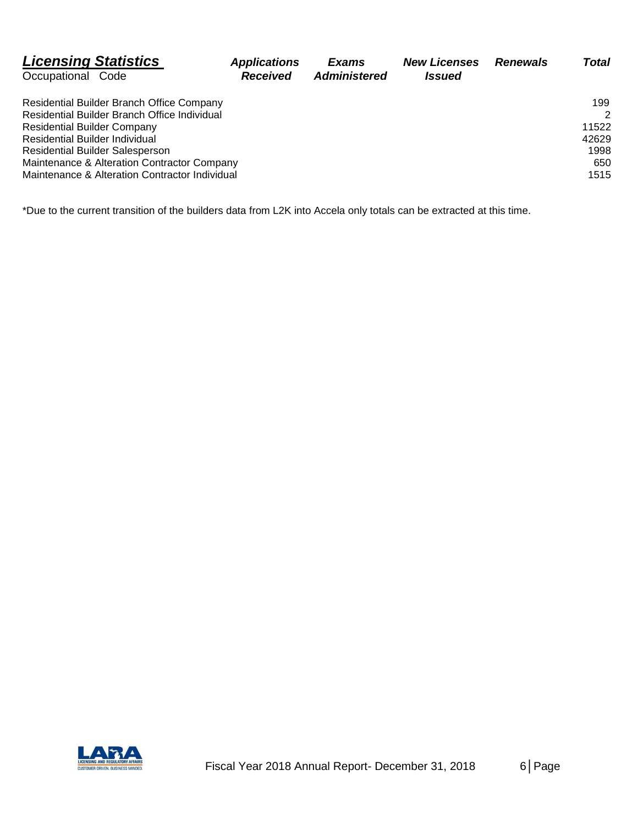| <b>Licensing Statistics</b>                    | <b>Applications</b> | Exams               | <b>New Licenses</b>  | <b>Renewals</b> | Total         |
|------------------------------------------------|---------------------|---------------------|----------------------|-----------------|---------------|
| Occupational Code                              | <b>Received</b>     | <b>Administered</b> | <i><b>Issued</b></i> |                 |               |
| Residential Builder Branch Office Company      |                     |                     |                      |                 | 199           |
| Residential Builder Branch Office Individual   |                     |                     |                      |                 | $\mathcal{P}$ |
| <b>Residential Builder Company</b>             |                     |                     |                      |                 | 11522         |
| Residential Builder Individual                 |                     |                     |                      |                 | 42629         |
| <b>Residential Builder Salesperson</b>         |                     |                     |                      |                 | 1998          |
| Maintenance & Alteration Contractor Company    |                     |                     |                      |                 | 650           |
| Maintenance & Alteration Contractor Individual |                     |                     |                      |                 | 1515          |

\*Due to the current transition of the builders data from L2K into Accela only totals can be extracted at this time.

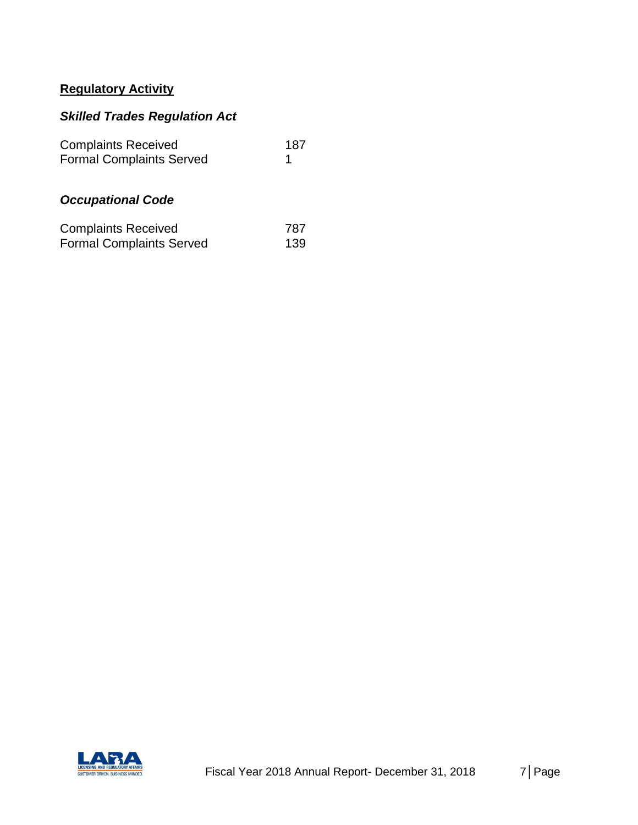# **Regulatory Activity**

### *Skilled Trades Regulation Act*

| <b>Complaints Received</b><br><b>Formal Complaints Served</b> |            |
|---------------------------------------------------------------|------------|
| <b>Occupational Code</b>                                      |            |
| <b>Complaints Received</b><br><b>Formal Complaints Served</b> | 787<br>139 |

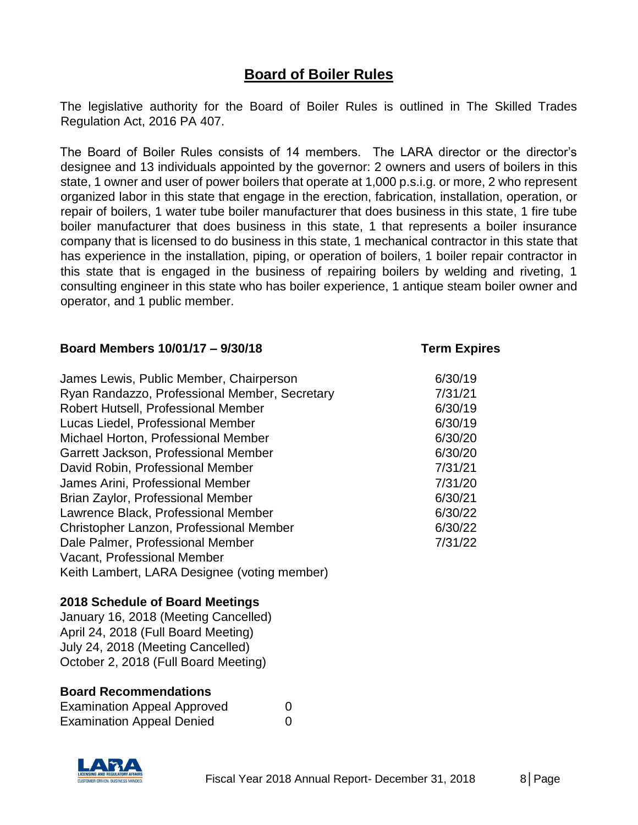## **Board of Boiler Rules**

The legislative authority for the Board of Boiler Rules is outlined in The Skilled Trades Regulation Act, 2016 PA 407.

The Board of Boiler Rules consists of 14 members. The LARA director or the director's designee and 13 individuals appointed by the governor: 2 owners and users of boilers in this state, 1 owner and user of power boilers that operate at 1,000 p.s.i.g. or more, 2 who represent organized labor in this state that engage in the erection, fabrication, installation, operation, or repair of boilers, 1 water tube boiler manufacturer that does business in this state, 1 fire tube boiler manufacturer that does business in this state, 1 that represents a boiler insurance company that is licensed to do business in this state, 1 mechanical contractor in this state that has experience in the installation, piping, or operation of boilers, 1 boiler repair contractor in this state that is engaged in the business of repairing boilers by welding and riveting, 1 consulting engineer in this state who has boiler experience, 1 antique steam boiler owner and operator, and 1 public member.

#### **Board Members 10/01/17 – 9/30/18 Term Expires**

| James Lewis, Public Member, Chairperson       | 6/30/19 |
|-----------------------------------------------|---------|
| Ryan Randazzo, Professional Member, Secretary | 7/31/21 |
| Robert Hutsell, Professional Member           | 6/30/19 |
| Lucas Liedel, Professional Member             | 6/30/19 |
| Michael Horton, Professional Member           | 6/30/20 |
| Garrett Jackson, Professional Member          | 6/30/20 |
| David Robin, Professional Member              | 7/31/21 |
| James Arini, Professional Member              | 7/31/20 |
| Brian Zaylor, Professional Member             | 6/30/21 |
| Lawrence Black, Professional Member           | 6/30/22 |
| Christopher Lanzon, Professional Member       | 6/30/22 |
| Dale Palmer, Professional Member              | 7/31/22 |
| Vacant, Professional Member                   |         |
| Keith Lambert, LARA Designee (voting member)  |         |

#### **2018 Schedule of Board Meetings**

January 16, 2018 (Meeting Cancelled) April 24, 2018 (Full Board Meeting) July 24, 2018 (Meeting Cancelled) October 2, 2018 (Full Board Meeting)

#### **Board Recommendations**

| <b>Examination Appeal Approved</b> | 0 |
|------------------------------------|---|
| <b>Examination Appeal Denied</b>   | 0 |

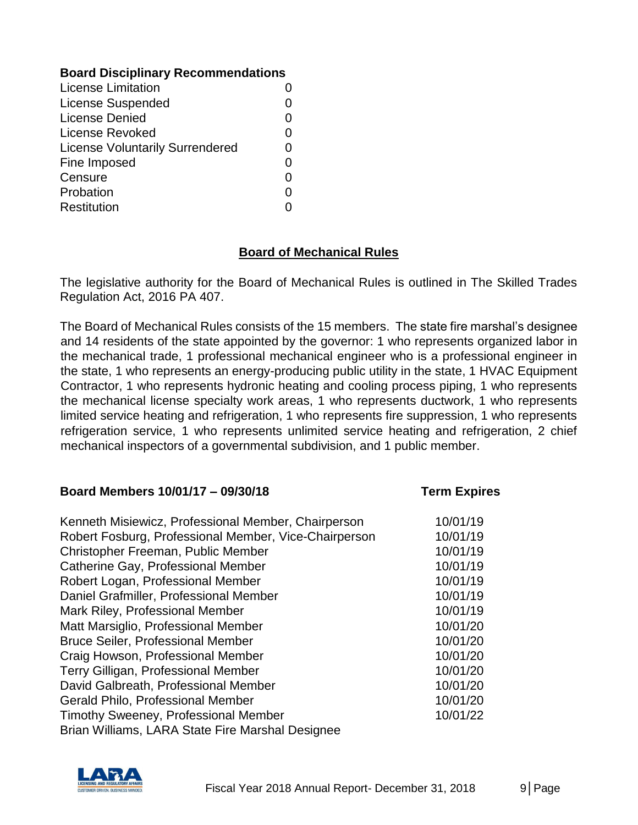#### **Board Disciplinary Recommendations**

| <b>License Limitation</b>              |    |
|----------------------------------------|----|
| <b>License Suspended</b>               |    |
| License Denied                         |    |
| License Revoked                        |    |
| <b>License Voluntarily Surrendered</b> |    |
| Fine Imposed                           | O) |
| Censure                                |    |
| Probation                              |    |
| <b>Restitution</b>                     |    |

#### **Board of Mechanical Rules**

The legislative authority for the Board of Mechanical Rules is outlined in The Skilled Trades Regulation Act, 2016 PA 407.

The Board of Mechanical Rules consists of the 15 members. The state fire marshal's designee and 14 residents of the state appointed by the governor: 1 who represents organized labor in the mechanical trade, 1 professional mechanical engineer who is a professional engineer in the state, 1 who represents an energy-producing public utility in the state, 1 HVAC Equipment Contractor, 1 who represents hydronic heating and cooling process piping, 1 who represents the mechanical license specialty work areas, 1 who represents ductwork, 1 who represents limited service heating and refrigeration, 1 who represents fire suppression, 1 who represents refrigeration service, 1 who represents unlimited service heating and refrigeration, 2 chief mechanical inspectors of a governmental subdivision, and 1 public member.

#### **Board Members 10/01/17 – 09/30/18 Term Expires**

| Kenneth Misiewicz, Professional Member, Chairperson   | 10/01/19 |
|-------------------------------------------------------|----------|
| Robert Fosburg, Professional Member, Vice-Chairperson | 10/01/19 |
| Christopher Freeman, Public Member                    | 10/01/19 |
| Catherine Gay, Professional Member                    | 10/01/19 |
| Robert Logan, Professional Member                     | 10/01/19 |
| Daniel Grafmiller, Professional Member                | 10/01/19 |
| Mark Riley, Professional Member                       | 10/01/19 |
| Matt Marsiglio, Professional Member                   | 10/01/20 |
| <b>Bruce Seiler, Professional Member</b>              | 10/01/20 |
| Craig Howson, Professional Member                     | 10/01/20 |
| Terry Gilligan, Professional Member                   | 10/01/20 |
| David Galbreath, Professional Member                  | 10/01/20 |
| Gerald Philo, Professional Member                     | 10/01/20 |
| Timothy Sweeney, Professional Member                  | 10/01/22 |
| Brian Williams, LARA State Fire Marshal Designee      |          |

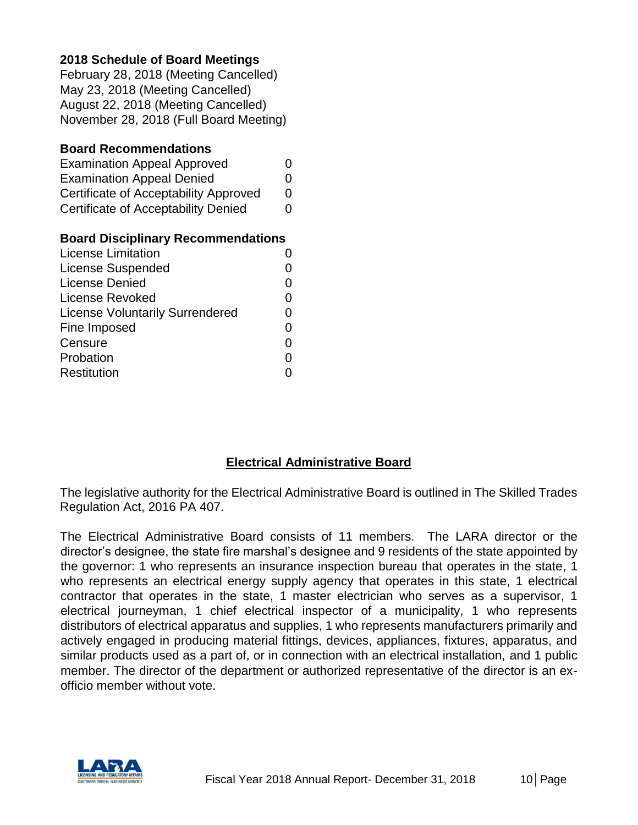#### **2018 Schedule of Board Meetings**

February 28, 2018 (Meeting Cancelled) May 23, 2018 (Meeting Cancelled) August 22, 2018 (Meeting Cancelled) November 28, 2018 (Full Board Meeting)

#### **Board Recommendations**

| <b>Examination Appeal Approved</b>    | 0 |
|---------------------------------------|---|
| <b>Examination Appeal Denied</b>      | O |
| Certificate of Acceptability Approved | O |
| Certificate of Acceptability Denied   | 0 |

#### **Board Disciplinary Recommendations**

| <b>License Limitation</b>              |   |
|----------------------------------------|---|
| <b>License Suspended</b>               |   |
| <b>License Denied</b>                  |   |
| License Revoked                        |   |
| <b>License Voluntarily Surrendered</b> |   |
| Fine Imposed                           | O |
| Censure                                | O |
| Probation                              |   |
| Restitution                            |   |

#### **Electrical Administrative Board**

The legislative authority for the Electrical Administrative Board is outlined in The Skilled Trades Regulation Act, 2016 PA 407.

The Electrical Administrative Board consists of 11 members. The LARA director or the director's designee, the state fire marshal's designee and 9 residents of the state appointed by the governor: 1 who represents an insurance inspection bureau that operates in the state, 1 who represents an electrical energy supply agency that operates in this state, 1 electrical contractor that operates in the state, 1 master electrician who serves as a supervisor, 1 electrical journeyman, 1 chief electrical inspector of a municipality, 1 who represents distributors of electrical apparatus and supplies, 1 who represents manufacturers primarily and actively engaged in producing material fittings, devices, appliances, fixtures, apparatus, and similar products used as a part of, or in connection with an electrical installation, and 1 public member. The director of the department or authorized representative of the director is an exofficio member without vote.

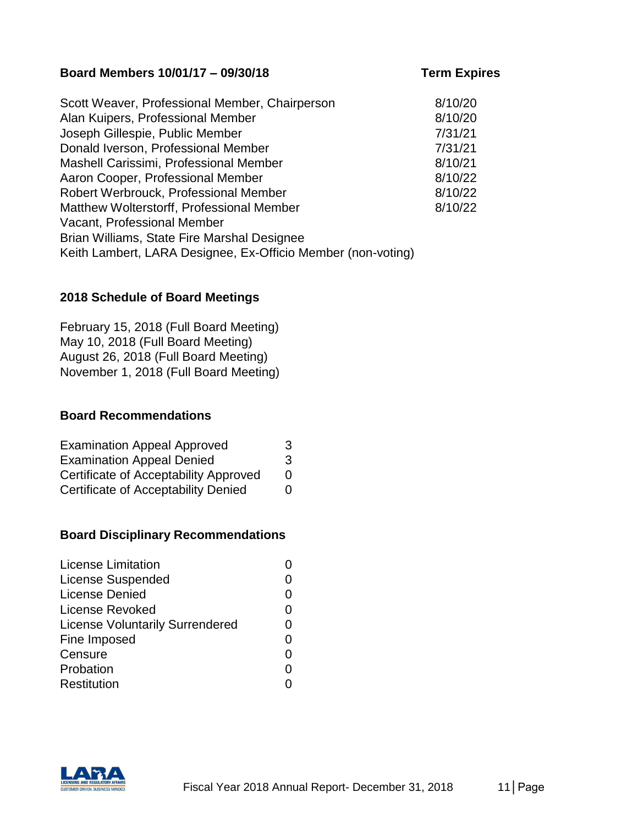#### **Board Members 10/01/17 – 09/30/18 Term Expires**

| Scott Weaver, Professional Member, Chairperson               | 8/10/20 |
|--------------------------------------------------------------|---------|
| Alan Kuipers, Professional Member                            | 8/10/20 |
| Joseph Gillespie, Public Member                              | 7/31/21 |
| Donald Iverson, Professional Member                          | 7/31/21 |
| Mashell Carissimi, Professional Member                       | 8/10/21 |
| Aaron Cooper, Professional Member                            | 8/10/22 |
| Robert Werbrouck, Professional Member                        | 8/10/22 |
| Matthew Wolterstorff, Professional Member                    | 8/10/22 |
| Vacant, Professional Member                                  |         |
| Brian Williams, State Fire Marshal Designee                  |         |
| Keith Lambert, LARA Designee, Ex-Officio Member (non-voting) |         |

#### **2018 Schedule of Board Meetings**

February 15, 2018 (Full Board Meeting) May 10, 2018 (Full Board Meeting) August 26, 2018 (Full Board Meeting) November 1, 2018 (Full Board Meeting)

#### **Board Recommendations**

| <b>Examination Appeal Approved</b>         | 3 |
|--------------------------------------------|---|
| <b>Examination Appeal Denied</b>           | 3 |
| Certificate of Acceptability Approved      | 0 |
| <b>Certificate of Acceptability Denied</b> | 0 |

#### **Board Disciplinary Recommendations**

| <b>License Limitation</b>              |    |
|----------------------------------------|----|
| <b>License Suspended</b>               |    |
| <b>License Denied</b>                  |    |
| License Revoked                        | O) |
| <b>License Voluntarily Surrendered</b> |    |
| Fine Imposed                           | 0  |
| Censure                                |    |
| Probation                              |    |
| <b>Restitution</b>                     |    |

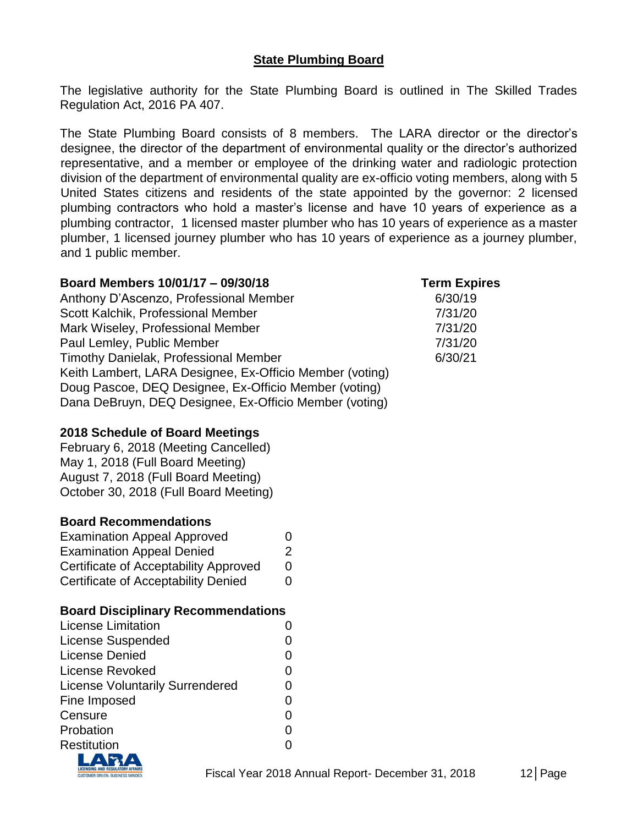### **State Plumbing Board**

The legislative authority for the State Plumbing Board is outlined in The Skilled Trades Regulation Act, 2016 PA 407.

The State Plumbing Board consists of 8 members. The LARA director or the director's designee, the director of the department of environmental quality or the director's authorized representative, and a member or employee of the drinking water and radiologic protection division of the department of environmental quality are ex-officio voting members, along with 5 United States citizens and residents of the state appointed by the governor: 2 licensed plumbing contractors who hold a master's license and have 10 years of experience as a plumbing contractor, 1 licensed master plumber who has 10 years of experience as a master plumber, 1 licensed journey plumber who has 10 years of experience as a journey plumber, and 1 public member.

#### **Board Members 10/01/17 – 09/30/18 Term Expires**

Anthony D'Ascenzo, Professional Member 6/30/19 Scott Kalchik, Professional Member 7/31/20 Mark Wiseley, Professional Member 7/31/20 Paul Lemley, Public Member 7/31/20 Timothy Danielak, Professional Member 6/30/21 Keith Lambert, LARA Designee, Ex-Officio Member (voting) Doug Pascoe, DEQ Designee, Ex-Officio Member (voting) Dana DeBruyn, DEQ Designee, Ex-Officio Member (voting)

#### **2018 Schedule of Board Meetings**

February 6, 2018 (Meeting Cancelled) May 1, 2018 (Full Board Meeting) August 7, 2018 (Full Board Meeting) October 30, 2018 (Full Board Meeting)

#### **Board Recommendations**

| <b>Examination Appeal Approved</b>    | 0 |
|---------------------------------------|---|
| <b>Examination Appeal Denied</b>      | 2 |
| Certificate of Acceptability Approved | 0 |
| Certificate of Acceptability Denied   | 0 |

#### **Board Disciplinary Recommendations**

| <b>License Limitation</b>              |              |
|----------------------------------------|--------------|
| <b>License Suspended</b>               |              |
| <b>License Denied</b>                  |              |
| <b>License Revoked</b>                 |              |
| <b>License Voluntarily Surrendered</b> |              |
| Fine Imposed                           | $\mathbf{O}$ |
| Censure                                | 0            |
| Probation                              |              |
| Restitution                            |              |
|                                        |              |